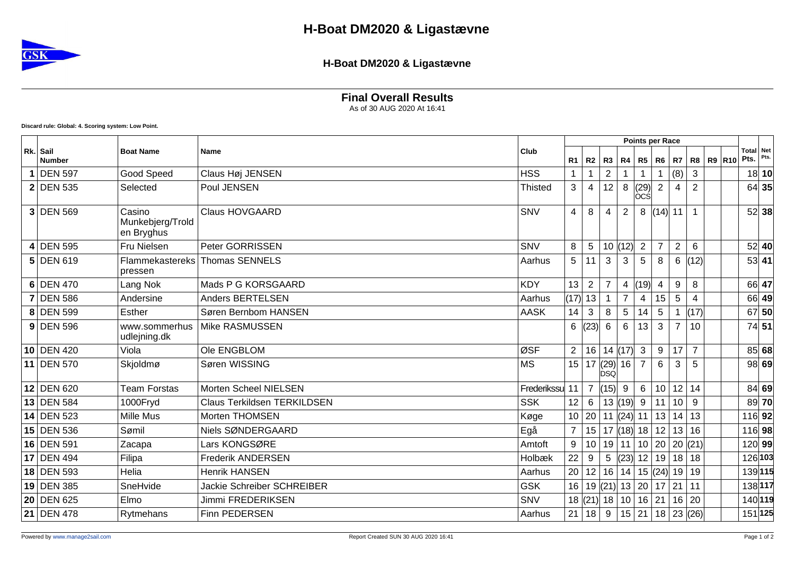

## **H-Boat DM2020 & Ligastævne**

**Final Overall Results**

As of 30 AUG 2020 At 16:41

**Discard rule: Global: 4. Scoring system: Low Point.**

|    |                           |                                          |                                    | Club        |                 |                         |                |                          |                 |                   | Points per Race |                |                  |                   |      |
|----|---------------------------|------------------------------------------|------------------------------------|-------------|-----------------|-------------------------|----------------|--------------------------|-----------------|-------------------|-----------------|----------------|------------------|-------------------|------|
|    | Rk. Sail<br><b>Number</b> | <b>Boat Name</b>                         | <b>Name</b>                        |             | <b>R1</b>       | $R2$ $R3$               |                | R4                       | R5              | R <sub>6</sub>    | R7              |                | <b>R8 R9 R10</b> | Total Net<br>Pts. | Pts. |
|    | <b>DEN 597</b>            | Good Speed                               | Claus Høj JENSEN                   | <b>HSS</b>  |                 | 1                       | $\overline{2}$ |                          |                 |                   | (8)             | 3              |                  | 18 10             |      |
|    | <b>2 DEN 535</b>          | Selected                                 | Poul JENSEN                        | Thisted     | 3               | 4                       | 12             | 8                        | (29)<br> ÒCŚ    | $\overline{2}$    | 4               | $\overline{2}$ |                  | 64 35             |      |
|    | $3$ DEN 569               | Casino<br>Munkebjerg/Trold<br>en Bryghus | <b>Claus HOVGAARD</b>              | SNV         | 4               | 8                       | 4              | 2                        | 8               | (14)              | 11              | $\overline{1}$ |                  | 52 38             |      |
|    | 4 DEN 595                 | Fru Nielsen                              | Peter GORRISSEN                    | SNV         | 8               | $\overline{5}$          |                | 10  (12)                 | $\overline{2}$  | $\overline{7}$    | $\overline{2}$  | 6              |                  | 52 40             |      |
|    | $5$ DEN 619               | pressen                                  | Flammekastereks Thomas SENNELS     | Aarhus      | 5 <sup>5</sup>  | 11                      | 3              | 3                        | 5               | 8                 | 6               | (12)           |                  | 53 41             |      |
|    | $6$ DEN 470               | Lang Nok                                 | Mads P G KORSGAARD                 | <b>KDY</b>  | 13              | $\overline{2}$          | $\overline{7}$ | $\overline{4}$           | (19)            | 4                 | 9               | 8              |                  | 66 47             |      |
|    | <b>DEN 586</b>            | Andersine                                | <b>Anders BERTELSEN</b>            | Aarhus      | (17)            | 13                      | $\overline{1}$ | $\overline{7}$           | 4               | 15                | 5               | 4              |                  | 66 49             |      |
|    | 8 DEN 599                 | Esther                                   | Søren Bernbom HANSEN               | <b>AASK</b> | 14              | 3                       | 8              | $\overline{5}$           | 14              | 5                 |                 | (17)           |                  | 67 50             |      |
|    | $9$ DEN 596               | www.sommerhus<br>udlejning.dk            | Mike RASMUSSEN                     |             | 6               | (23)                    | 6              | $6\phantom{1}6$          | 13              | 3                 | $\overline{7}$  | 10             |                  | 74 51             |      |
|    | $10$ DEN 420              | Viola                                    | Ole ENGBLOM                        | ØSF         | $\overline{2}$  |                         |                | 16 14 (17)               | 3               | 9                 | 17              | $\overline{7}$ |                  | 85 68             |      |
|    | 11 DEN 570                | Skjoldmø                                 | Søren WISSING                      | <b>MS</b>   | 15              | 17                      | ĎSQ            | $\left  (29) \right $ 16 | $\overline{7}$  | 6                 | 3               | 5              |                  | 98 69             |      |
|    | 12 DEN 620                | <b>Team Forstas</b>                      | Morten Scheel NIELSEN              | Frederikssu | 11              | $\overline{7}$          | (15)           | 9                        | $6\overline{6}$ | 10                |                 | $12$ 14        |                  | 84 69             |      |
|    | 13 DEN 584                | 1000Fryd                                 | <b>Claus Terkildsen TERKILDSEN</b> | <b>SSK</b>  | 12              | $6\phantom{1}6$         |                | 13   (19)                | 9               | 11                | 10              | 9              |                  | $89$ 70           |      |
|    | 14 DEN 523                | Mille Mus                                | Morten THOMSEN                     | Køge        | 10 <sup>1</sup> |                         |                | 20   11   (24)           | 11              | 13                | 14              | 13             |                  | 116 92            |      |
|    | 15 DEN 536                | Sømil                                    | Niels SØNDERGAARD                  | Egå         | $\overline{7}$  |                         |                | $15$   17 (18) 18        |                 | 12                |                 | 13 16          |                  | 116 98            |      |
|    | 16 DEN 591                | Zacapa                                   | Lars KONGSØRE                      | Amtoft      | 9               | 10 <sup>1</sup>         |                | 19   11                  | 10              | 20                |                 | 20  (21)       |                  | 120 99            |      |
| 17 | <b>DEN 494</b>            | Filipa                                   | <b>Frederik ANDERSEN</b>           | Holbæk      | 22              | 9                       | 5              | (23)                     | 12              | 19                |                 | $18$ 18        |                  | 126 103           |      |
|    | 18 DEN 593                | Helia                                    | <b>Henrik HANSEN</b>               | Aarhus      | 20              |                         |                | 12 16 14                 |                 | 15  (24)  19   19 |                 |                |                  | 139115            |      |
|    | 19 DEN 385                | SneHvide                                 | <b>Jackie Schreiber SCHREIBER</b>  | <b>GSK</b>  | 16              |                         |                | 19 $(21)$ 13 20          |                 | 17                | 21              | 11             |                  | 138 117           |      |
|    | 20 DEN 625                | Elmo                                     | Jimmi FREDERIKSEN                  | SNV         |                 | $18$ (21) $18$ 10 16 21 |                |                          |                 |                   |                 | $16$ 20        |                  | 140 119           |      |
|    | $21$ DEN 478              | Rytmehans                                | Finn PEDERSEN                      | Aarhus      | 21              | $18$   9                |                | 15                       | 21              |                   |                 | 18 23 (26)     |                  | 151 125           |      |